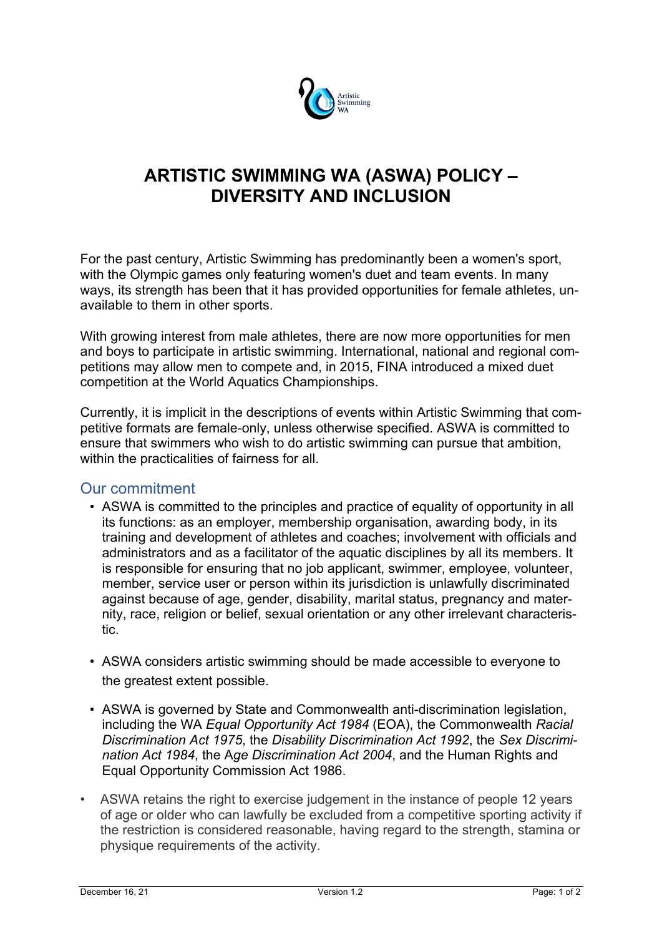

## **ARTISTIC SWIMMING WA (ASWA) POLICY – DIVERSITY AND INCLUSION**

For the past century, Artistic Swimming has predominantly been a women's sport, with the Olympic games only featuring women's duet and team events. In many ways, its strength has been that it has provided opportunities for female athletes, unavailable to them in other sports.

With growing interest from male athletes, there are now more opportunities for men and boys to participate in artistic swimming. International, national and regional competitions may allow men to compete and, in 2015, FINA introduced a mixed duet competition at the World Aquatics Championships.

Currently, it is implicit in the descriptions of events within Artistic Swimming that competitive formats are female-only, unless otherwise specified. ASWA is committed to ensure that swimmers who wish to do artistic swimming can pursue that ambition, within the practicalities of fairness for all.

## Our commitment

- ASWA is committed to the principles and practice of equality of opportunity in all its functions: as an employer, membership organisation, awarding body, in its training and development of athletes and coaches; involvement with officials and administrators and as a facilitator of the aquatic disciplines by all its members. It is responsible for ensuring that no job applicant, swimmer, employee, volunteer, member, service user or person within its jurisdiction is unlawfully discriminated against because of age, gender, disability, marital status, pregnancy and maternity, race, religion or belief, sexual orientation or any other irrelevant characteristic.
- ASWA considers artistic swimming should be made accessible to everyone to the greatest extent possible.
- ASWA is governed by State and Commonwealth anti-discrimination legislation, including the WA *Equal Opportunity Act 1984* (EOA), the Commonwealth *Racial Discrimination Act 1975*, the *Disability Discrimination Act 1992*, the *Sex Discrimination Act 1984*, the A*ge Discrimination Act 2004*, and the Human Rights and Equal Opportunity Commission Act 1986.
- ASWA retains the right to exercise judgement in the instance of people 12 years of age or older who can lawfully be excluded from a competitive sporting activity if the restriction is considered reasonable, having regard to the strength, stamina or physique requirements of the activity.